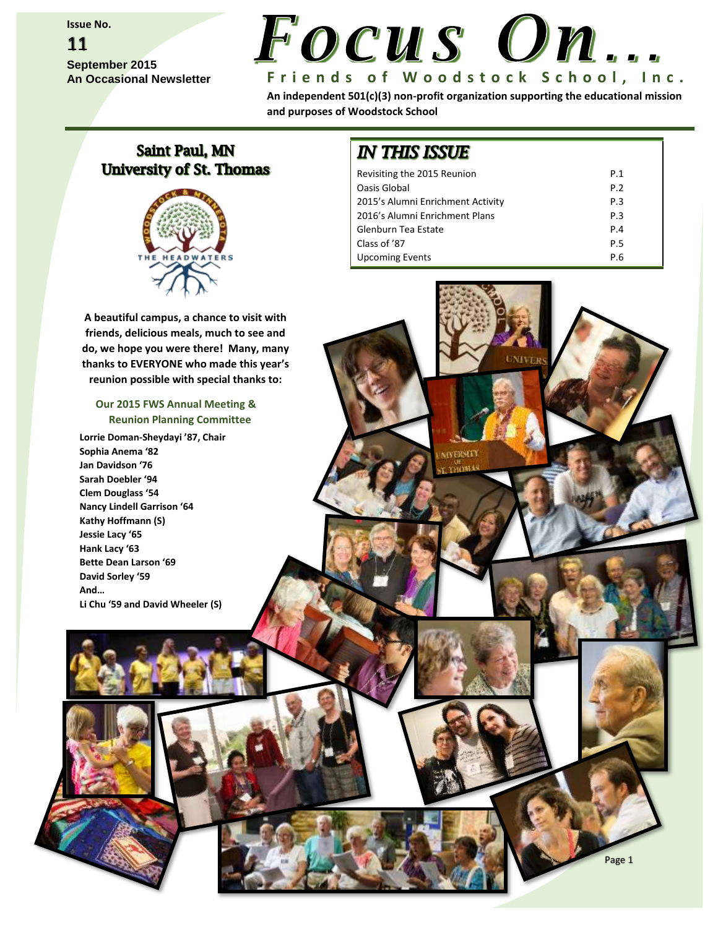**Issue No.**

### 11 **September 2015 An Occasional Newsletter**



**An independent 501(c)(3) non-profit organization supporting the educational mission and purposes of Woodstock School**

### **Saint Paul, MN University of St. Thomas**

**A beautiful campus, a chance to visit with friends, delicious meals, much to see and do, we hope you were there! Many, many thanks to EVERYONE who made this year's reunion possible with special thanks to:**

### **Our 2015 FWS Annual Meeting & Reunion Planning Committee**

**Lorrie Doman-Sheydayi '87, Chair Sophia Anema '82 Jan Davidson '76 Sarah Doebler '94 Clem Douglass '54 Nancy Lindell Garrison '64 Kathy Hoffmann (S) Jessie Lacy '65 Hank Lacy '63 Bette Dean Larson '69 David Sorley '59 And… Li Chu '59 and David Wheeler (S)**

## **IN THIS ISSUE**

| Revisiting the 2015 Reunion       | P.1             |
|-----------------------------------|-----------------|
| Oasis Global                      | P. <sub>2</sub> |
| 2015's Alumni Enrichment Activity | P <sub>3</sub>  |
| 2016's Alumni Enrichment Plans    | P <sub>3</sub>  |
| Glenburn Tea Estate               | P.4             |
| Class of '87                      | P.5             |
| <b>Upcoming Events</b>            | P.6             |

Page 1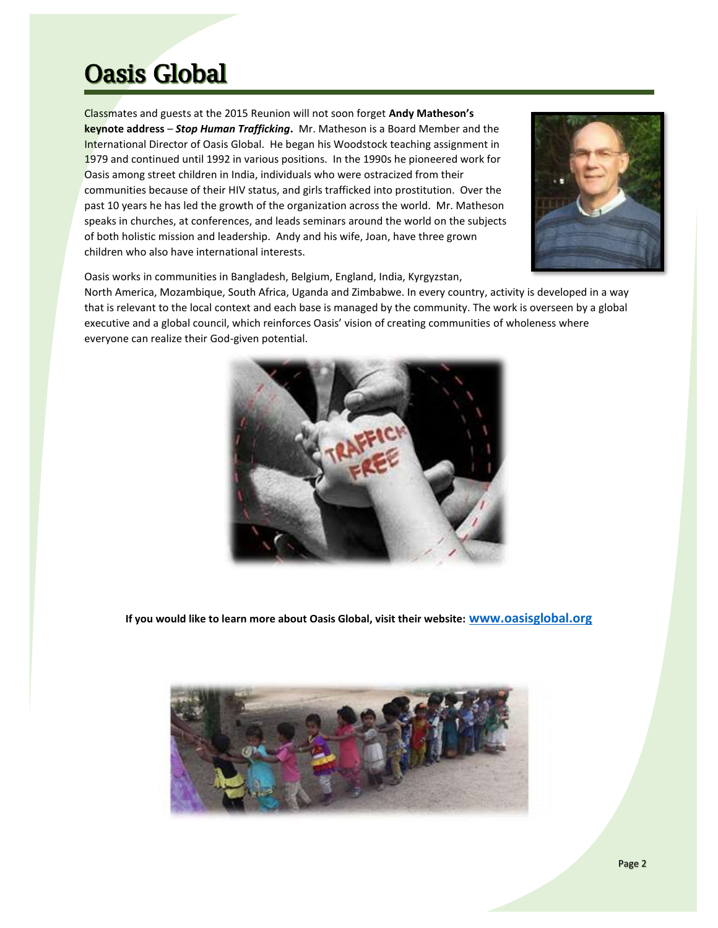# **Oasis Global**

Classmates and guests at the 2015 Reunion will not soon forget **Andy Matheson's keynote address** – *Stop Human Trafficking***.** Mr. Matheson is a Board Member and the International Director of Oasis Global. He began his Woodstock teaching assignment in 1979 and continued until 1992 in various positions. In the 1990s he pioneered work for Oasis among street children in India, individuals who were ostracized from their communities because of their HIV status, and girls trafficked into prostitution. Over the past 10 years he has led the growth of the organization across the world. Mr. Matheson speaks in churches, at conferences, and leads seminars around the world on the subjects of both holistic mission and leadership. Andy and his wife, Joan, have three grown children who also have international interests.



Oasis works in communities in Bangladesh, Belgium, England, India, Kyrgyzstan,

North America, Mozambique, South Africa, Uganda and Zimbabwe. In every country, activity is developed in a way that is relevant to the local context and each base is managed by the community. The work is overseen by a global executive and a global council, which reinforces Oasis' vision of creating communities of wholeness where everyone can realize their God-given potential.



**If you would like to learn more about Oasis Global, visit their website: [www.oasisglobal.org](http://www.oasisglobal.org/)**

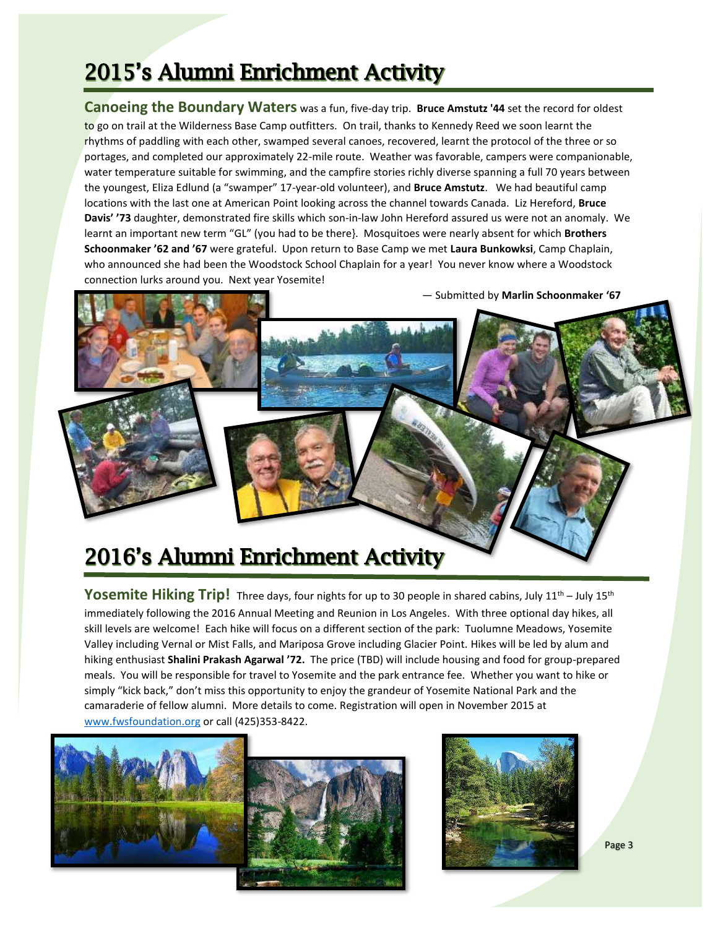# 2015's Alumni Enrichment Activity

**Canoeing the Boundary Waters** was a fun, five-day trip. **Bruce Amstutz '44** set the record for oldest to go on trail at the Wilderness Base Camp outfitters. On trail, thanks to Kennedy Reed we soon learnt the rhythms of paddling with each other, swamped several canoes, recovered, learnt the protocol of the three or so portages, and completed our approximately 22-mile route. Weather was favorable, campers were companionable, water temperature suitable for swimming, and the campfire stories richly diverse spanning a full 70 years between the youngest, Eliza Edlund (a "swamper" 17-year-old volunteer), and **Bruce Amstutz**. We had beautiful camp locations with the last one at American Point looking across the channel towards Canada. Liz Hereford, **Bruce Davis' '73** daughter, demonstrated fire skills which son-in-law John Hereford assured us were not an anomaly. We learnt an important new term "GL" (you had to be there}. Mosquitoes were nearly absent for which **Brothers Schoonmaker '62 and '67** were grateful. Upon return to Base Camp we met **Laura Bunkowksi**, Camp Chaplain, who announced she had been the Woodstock School Chaplain for a year! You never know where a Woodstock connection lurks around you. Next year Yosemite!



# 2016's Alumni Enrichment Activity

**Yosemite Hiking Trip!** Three days, four nights for up to 30 people in shared cabins, July 11<sup>th</sup> – July 15<sup>th</sup> immediately following the 2016 Annual Meeting and Reunion in Los Angeles. With three optional day hikes, all skill levels are welcome! Each hike will focus on a different section of the park: Tuolumne Meadows, Yosemite Valley including Vernal or Mist Falls, and Mariposa Grove including Glacier Point. Hikes will be led by alum and hiking enthusiast **Shalini Prakash Agarwal '72.** The price (TBD) will include housing and food for group-prepared meals. You will be responsible for travel to Yosemite and the park entrance fee. Whether you want to hike or simply "kick back," don't miss this opportunity to enjoy the grandeur of Yosemite National Park and the camaraderie of fellow alumni. More details to come. Registration will open in November 2015 at [www.fwsfoundation.org](http://www.fwsfoundation.org/) or call (425)353-8422.





Page 3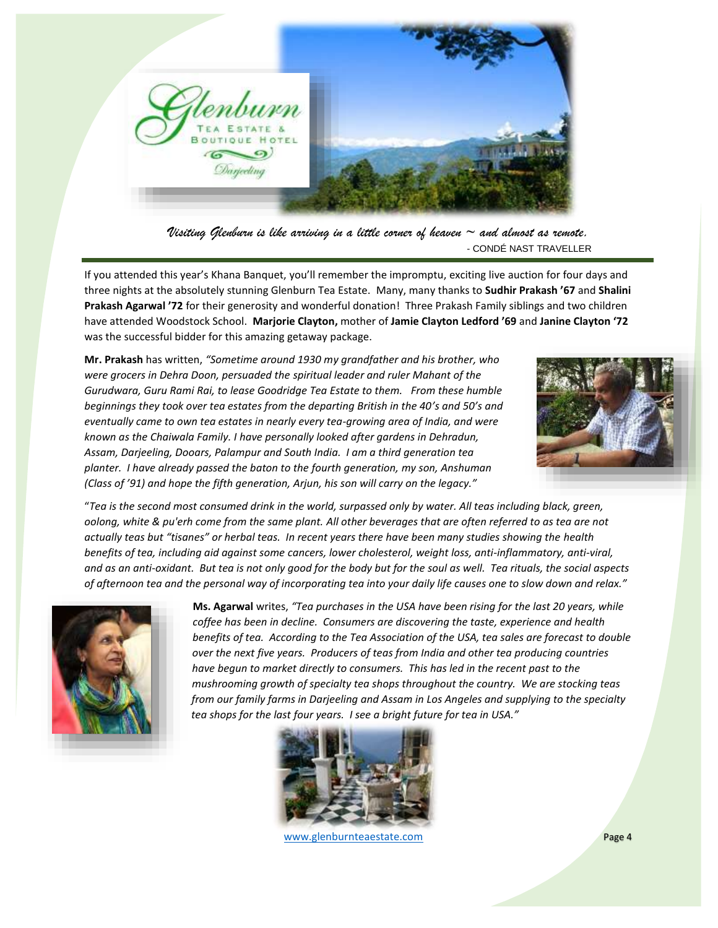

*Visiting Glenburn is like arriving in a little corner of heaven ~ and almost as remote.* - CONDÉ NAST TRAVELLER

If you attended this year's Khana Banquet, you'll remember the impromptu, exciting live auction for four days and three nights at the absolutely stunning Glenburn Tea Estate. Many, many thanks to **Sudhir Prakash '67** and **Shalini Prakash Agarwal '72** for their generosity and wonderful donation! Three Prakash Family siblings and two children have attended Woodstock School. **Marjorie Clayton,** mother of **Jamie Clayton Ledford '69** and **Janine Clayton '72** was the successful bidder for this amazing getaway package.

**Mr. Prakash** has written, *"Sometime around 1930 my grandfather and his brother, who were grocers in Dehra Doon, persuaded the spiritual leader and ruler Mahant of the Gurudwara, Guru Rami Rai, to lease Goodridge Tea Estate to them. From these humble beginnings they took over tea estates from the departing British in the 40's and 50's and eventually came to own tea estates in nearly every tea-growing area of India, and were known as the Chaiwala Family. I have personally looked after gardens in Dehradun, Assam, Darjeeling, Dooars, Palampur and South India. I am a third generation tea planter. I have already passed the baton to the fourth generation, my son, Anshuman (Class of '91) and hope the fifth generation, Arjun, his son will carry on the legacy."*



"*Tea is the second most consumed drink in the world, surpassed only by water. All teas including black, green, oolong, white & pu'erh come from the same plant. All other beverages that are often referred to as tea are not actually teas but "tisanes" or herbal teas. In recent years there have been many studies showing the health benefits of tea, including aid against some cancers, lower cholesterol, weight loss, anti-inflammatory, anti-viral, and as an anti-oxidant. But tea is not only good for the body but for the soul as well. Tea rituals, the social aspects of afternoon tea and the personal way of incorporating tea into your daily life causes one to slow down and relax."*



 **Ms. Agarwal** writes, *"Tea purchases in the USA have been rising for the last 20 years, while coffee has been in decline. Consumers are discovering the taste, experience and health benefits of tea. According to the Tea Association of the USA, tea sales are forecast to double over the next five years. Producers of teas from India and other tea producing countries have begun to market directly to consumers. This has led in the recent past to the mushrooming growth of specialty tea shops throughout the country. We are stocking teas from our family farms in Darjeeling and Assam in Los Angeles and supplying to the specialty tea shops for the last four years. I see a bright future for tea in USA."*



[www.glenburnteaestate.com](http://www.glenburnteaestate.com/) **Page 4**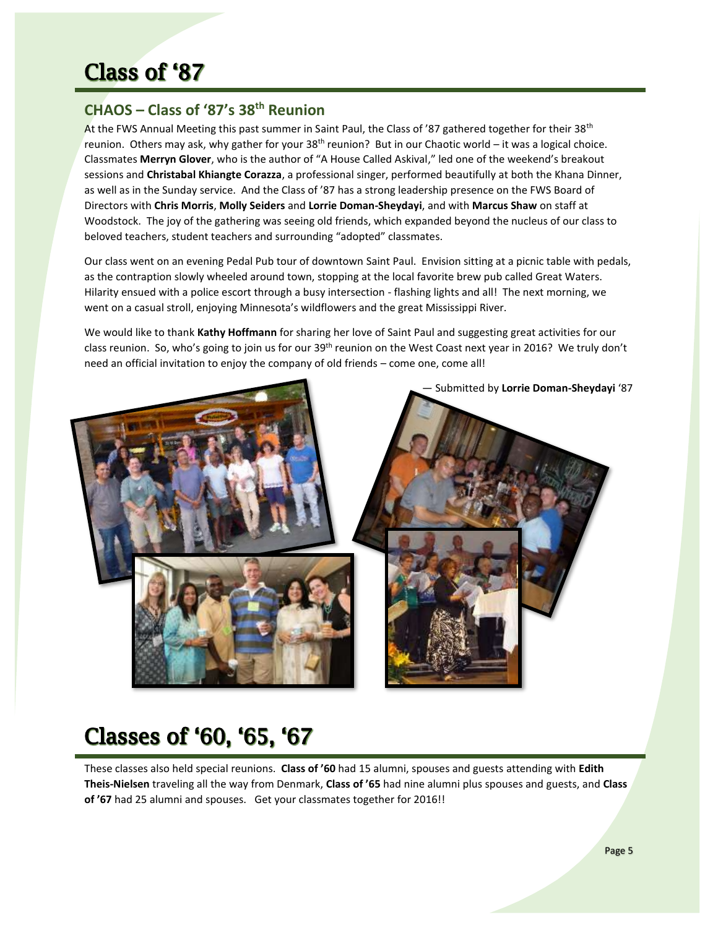## **Class of '87**

### **CHAOS – Class of '87's 38th Reunion**

At the FWS Annual Meeting this past summer in Saint Paul, the Class of '87 gathered together for their 38th reunion. Others may ask, why gather for your 38th reunion? But in our Chaotic world – it was a logical choice. Classmates **Merryn Glover**, who is the author of "A House Called Askival," led one of the weekend's breakout sessions and **Christabal Khiangte Corazza**, a professional singer, performed beautifully at both the Khana Dinner, as well as in the Sunday service. And the Class of '87 has a strong leadership presence on the FWS Board of Directors with **Chris Morris**, **Molly Seiders** and **Lorrie Doman-Sheydayi**, and with **Marcus Shaw** on staff at Woodstock. The joy of the gathering was seeing old friends, which expanded beyond the nucleus of our class to beloved teachers, student teachers and surrounding "adopted" classmates.

Our class went on an evening Pedal Pub tour of downtown Saint Paul. Envision sitting at a picnic table with pedals, as the contraption slowly wheeled around town, stopping at the local favorite brew pub called Great Waters. Hilarity ensued with a police escort through a busy intersection - flashing lights and all! The next morning, we went on a casual stroll, enjoying Minnesota's wildflowers and the great Mississippi River.

We would like to thank **Kathy Hoffmann** for sharing her love of Saint Paul and suggesting great activities for our class reunion. So, who's going to join us for our 39<sup>th</sup> reunion on the West Coast next year in 2016? We truly don't need an official invitation to enjoy the company of old friends – come one, come all!



# Classes of '60, '65, '67

These classes also held special reunions. **Class of '60** had 15 alumni, spouses and guests attending with **Edith Theis-Nielsen** traveling all the way from Denmark, **Class of '65** had nine alumni plus spouses and guests, and **Class of '67** had 25 alumni and spouses. Get your classmates together for 2016!!